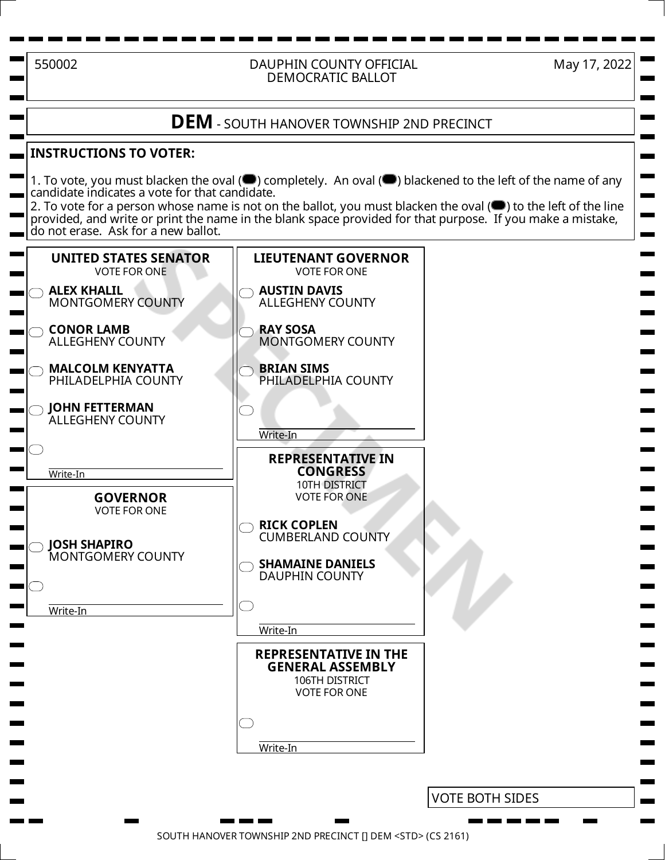## 550002 DAUPHIN COUNTY OFFICIAL DEMOCRATIC BALLOT

## **DEM** - SOUTH HANOVER TOWNSHIP 2ND PRECINCT **INSTRUCTIONS TO VOTER:** 1. To vote, you must blacken the oval (●) completely. An oval (●) blackened to the left of the name of any candidate indicates a vote for that candidate. 2. To vote for a person whose name is not on the ballot, you must blacken the oval  $(\blacksquare)$  to the left of the line provided, and write or print the name in the blank space provided for that purpose. If you make a mistake, do not erase. Ask for a new ballot. **UNITED STATES SENATOR** VOTE FOR ONE **ALEX KHALIL** MONTGOMERY COUNTY **CONOR LAMB** ALLEGHENY COUNTY **MALCOLM KENYATTA** PHILADELPHIA COUNTY **JOHN FETTERMAN** ALLEGHENY COUNTY Write-In **GOVERNOR** VOTE FOR ONE **JOSH SHAPIRO** MONTGOMERY COUNTY Write-In **LIEUTENANT GOVERNOR** VOTE FOR ONE **AUSTIN DAVIS** ALLEGHENY COUNTY **RAY SOSA** MONTGOMERY COUNTY **BRIAN SIMS** PHILADELPHIA COUNTY Write-In **REPRESENTATIVE IN CONGRESS** 10TH DISTRICT VOTE FOR ONE **RICK COPLEN** CUMBERLAND COUNTY **SHAMAINE DANIELS** DAUPHIN COUNTY Write-In **REPRESENTATIVE IN THE GENERAL ASSEMBLY** 106TH DISTRICT VOTE FOR ONE Write-In

VOTE BOTH SIDES